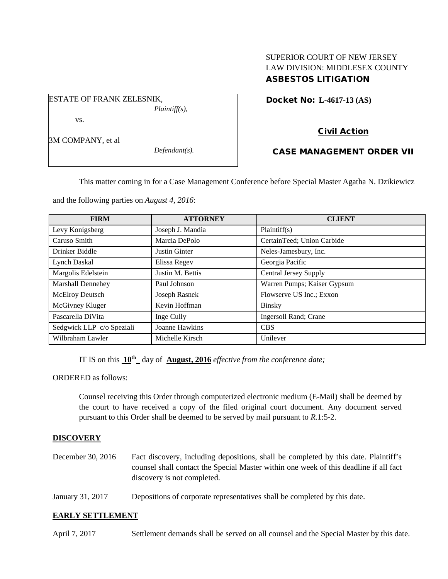# SUPERIOR COURT OF NEW JERSEY LAW DIVISION: MIDDLESEX COUNTY ASBESTOS LITIGATION

Docket No: **L-4617-13 (AS)** 

# Civil Action

## CASE MANAGEMENT ORDER VII

This matter coming in for a Case Management Conference before Special Master Agatha N. Dzikiewicz

and the following parties on *August 4, 2016*:

*Plaintiff(s),*

*Defendant(s).*

ESTATE OF FRANK ZELESNIK,

vs.

3M COMPANY, et al

| <b>FIRM</b>               | <b>ATTORNEY</b>  | <b>CLIENT</b>                |
|---------------------------|------------------|------------------------------|
| Levy Konigsberg           | Joseph J. Mandia | Plaintiff(s)                 |
| Caruso Smith              | Marcia DePolo    | CertainTeed; Union Carbide   |
| Drinker Biddle            | Justin Ginter    | Neles-Jamesbury, Inc.        |
| Lynch Daskal              | Elissa Regev     | Georgia Pacific              |
| Margolis Edelstein        | Justin M. Bettis | <b>Central Jersey Supply</b> |
| Marshall Dennehey         | Paul Johnson     | Warren Pumps; Kaiser Gypsum  |
| <b>McElroy Deutsch</b>    | Joseph Rasnek    | Flowserve US Inc.; Exxon     |
| McGivney Kluger           | Kevin Hoffman    | Binsky                       |
| Pascarella DiVita         | Inge Cully       | Ingersoll Rand; Crane        |
| Sedgwick LLP c/o Speziali | Joanne Hawkins   | <b>CBS</b>                   |
| Wilbraham Lawler          | Michelle Kirsch  | Unilever                     |

IT IS on this **10th** day of **August, 2016** *effective from the conference date;*

ORDERED as follows:

Counsel receiving this Order through computerized electronic medium (E-Mail) shall be deemed by the court to have received a copy of the filed original court document. Any document served pursuant to this Order shall be deemed to be served by mail pursuant to *R*.1:5-2.

## **DISCOVERY**

- December 30, 2016 Fact discovery, including depositions, shall be completed by this date. Plaintiff's counsel shall contact the Special Master within one week of this deadline if all fact discovery is not completed.
- January 31, 2017 Depositions of corporate representatives shall be completed by this date.

## **EARLY SETTLEMENT**

April 7, 2017 Settlement demands shall be served on all counsel and the Special Master by this date.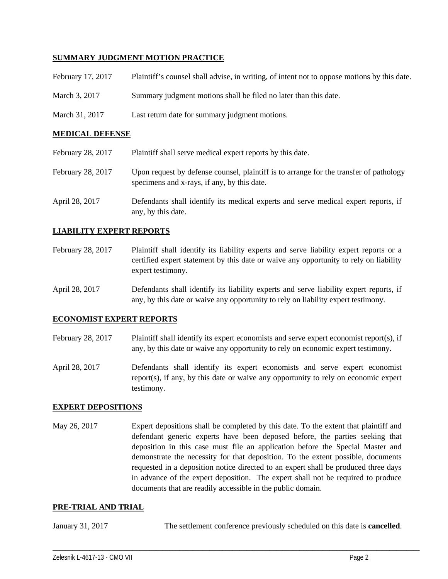### **SUMMARY JUDGMENT MOTION PRACTICE**

| February 17, 2017 | Plaintiff's counsel shall advise, in writing, of intent not to oppose motions by this date. |
|-------------------|---------------------------------------------------------------------------------------------|
| March 3, 2017     | Summary judgment motions shall be filed no later than this date.                            |
| March 31, 2017    | Last return date for summary judgment motions.                                              |

#### **MEDICAL DEFENSE**

| February 28, 2017 | Plaintiff shall serve medical expert reports by this date.                                                                            |
|-------------------|---------------------------------------------------------------------------------------------------------------------------------------|
| February 28, 2017 | Upon request by defense counsel, plaintiff is to arrange for the transfer of pathology<br>specimens and x-rays, if any, by this date. |
| April 28, 2017    | Defendants shall identify its medical experts and serve medical expert reports, if<br>any, by this date.                              |

### **LIABILITY EXPERT REPORTS**

- February 28, 2017 Plaintiff shall identify its liability experts and serve liability expert reports or a certified expert statement by this date or waive any opportunity to rely on liability expert testimony.
- April 28, 2017 Defendants shall identify its liability experts and serve liability expert reports, if any, by this date or waive any opportunity to rely on liability expert testimony.

#### **ECONOMIST EXPERT REPORTS**

- February 28, 2017 Plaintiff shall identify its expert economists and serve expert economist report(s), if any, by this date or waive any opportunity to rely on economic expert testimony.
- April 28, 2017 Defendants shall identify its expert economists and serve expert economist report(s), if any, by this date or waive any opportunity to rely on economic expert testimony.

#### **EXPERT DEPOSITIONS**

May 26, 2017 Expert depositions shall be completed by this date. To the extent that plaintiff and defendant generic experts have been deposed before, the parties seeking that deposition in this case must file an application before the Special Master and demonstrate the necessity for that deposition. To the extent possible, documents requested in a deposition notice directed to an expert shall be produced three days in advance of the expert deposition. The expert shall not be required to produce documents that are readily accessible in the public domain.

#### **PRE-TRIAL AND TRIAL**

January 31, 2017 The settlement conference previously scheduled on this date is **cancelled**.

\_\_\_\_\_\_\_\_\_\_\_\_\_\_\_\_\_\_\_\_\_\_\_\_\_\_\_\_\_\_\_\_\_\_\_\_\_\_\_\_\_\_\_\_\_\_\_\_\_\_\_\_\_\_\_\_\_\_\_\_\_\_\_\_\_\_\_\_\_\_\_\_\_\_\_\_\_\_\_\_\_\_\_\_\_\_\_\_\_\_\_\_\_\_\_\_\_\_\_\_\_\_\_\_\_\_\_\_\_\_